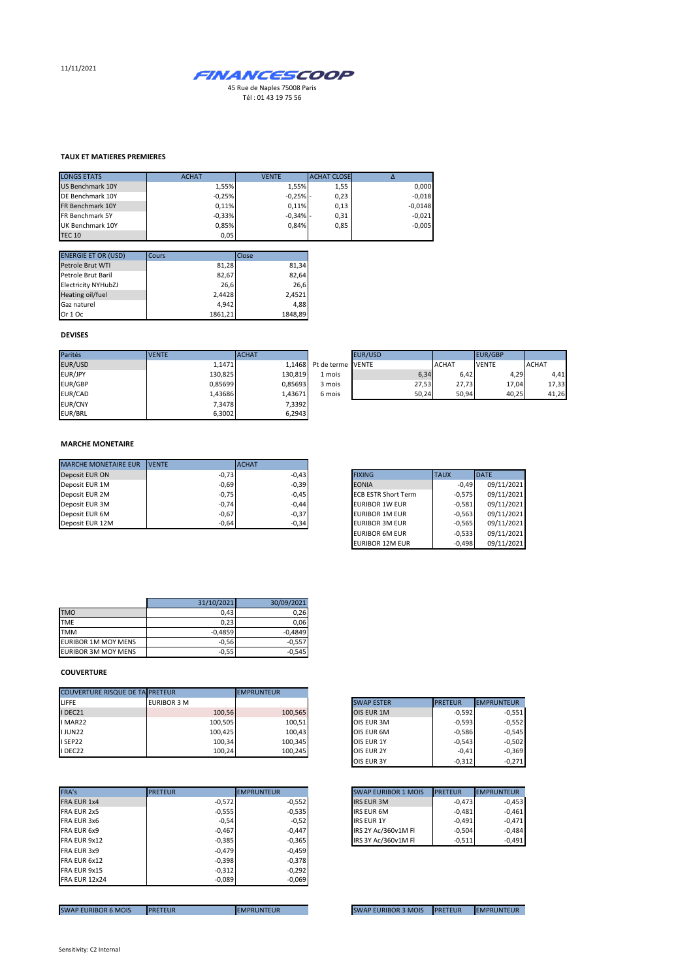11/11/2021



Tél : 01 43 19 75 56

## **TAUX ET MATIERES PREMIERES**

| <b>LONGS ETATS</b>      | <b>ACHAT</b> | <b>VENTE</b> | <b>ACHAT CLOSE</b> |           |
|-------------------------|--------------|--------------|--------------------|-----------|
| <b>US Benchmark 10Y</b> | 1.55%        | 1.55%        | 1,55               | 0,000     |
| DE Benchmark 10Y        | $-0.25%$     | $-0,25%$ -   | 0,23               | $-0,018$  |
| FR Benchmark 10Y        | 0.11%        | 0.11%        | 0,13               | $-0,0148$ |
| FR Benchmark 5Y         | $-0,33%$     | $-0,34%$ -   | 0,31               | $-0,021$  |
| UK Benchmark 10Y        | 0,85%        | 0.84%        | 0,85               | $-0,005$  |
| <b>TEC 10</b>           | 0,05         |              |                    |           |

| <b>ENERGIE ET OR (USD)</b> | Cours   | Close   |
|----------------------------|---------|---------|
| Petrole Brut WTI           | 81,28   | 81,34   |
| Petrole Brut Baril         | 82,67   | 82,64   |
| <b>Electricity NYHubZJ</b> | 26.6    | 26.6    |
| Heating oil/fuel           | 2,4428  | 2,4521  |
| Gaz naturel                | 4.942   | 4.88    |
| Or 1 Oc                    | 1861,21 | 1848,89 |

## **DEVISES**

| Parités        | <b>VENTE</b> | <b>ACHAT</b> |                          | <b>EUR/USD</b> |              | EUR/GBP      |              |
|----------------|--------------|--------------|--------------------------|----------------|--------------|--------------|--------------|
| EUR/USD        | 1.1471       |              | 1,1468 Pt de terme VENTE |                | <b>ACHAT</b> | <b>VENTE</b> | <b>ACHAT</b> |
| EUR/JPY        | 130,825      | 130,819      | 1 mois                   | 6,34           | 6,42         | 4,29         | 4,41         |
| EUR/GBP        | 0,85699      | 0.85693      | 3 mois                   | 27,53          | 27.73        | 17,04        | 17,33        |
| EUR/CAD        | 1,43686      | 1.43671      | 6 mois                   | 50.24          | 50.94        | 40,25        | 41,26        |
| <b>EUR/CNY</b> | 7,3478       | 7,3392       |                          |                |              |              |              |
| EUR/BRL        | 6,3002       | 6,2943       |                          |                |              |              |              |

|     | <b>EUR/USD</b> |       |              | <b>EUR/GBP</b> |              |
|-----|----------------|-------|--------------|----------------|--------------|
|     | erme VENTE     |       | <b>ACHAT</b> | <b>VENTE</b>   | <b>ACHAT</b> |
| bis |                | 6.34  | 6.42         | 4.29           | 4,41         |
| bis |                | 27,53 | 27,73        | 17,04          | 17,33        |
| bis |                | 50,24 | 50,94        | 40,25          | 41,26        |

#### **MARCHE MONETAIRE**

| <b>MARCHE MONETAIRE EUR</b> | <b>IVENTE</b> | <b>ACHAT</b> |                            |             |             |
|-----------------------------|---------------|--------------|----------------------------|-------------|-------------|
| Deposit EUR ON              | $-0,73$       | $-0.43$      | <b>FIXING</b>              | <b>TAUX</b> | <b>DATE</b> |
| Deposit EUR 1M              | $-0,69$       | $-0,39$      | <b>EONIA</b>               | $-0.49$     | 09/11/2021  |
| Deposit EUR 2M              | $-0,75$       | $-0,45$      | <b>ECB ESTR Short Term</b> | $-0.575$    | 09/11/2021  |
| Deposit EUR 3M              | $-0,74$       | $-0.44$      | <b>EURIBOR 1W EUR</b>      | $-0.581$    | 09/11/2021  |
| Deposit EUR 6M              | $-0,67$       | $-0,37$      | <b>EURIBOR 1M EUR</b>      | $-0.563$    | 09/11/2021  |
| Deposit EUR 12M             | $-0,64$       | $-0,34$      | <b>EURIBOR 3M EUR</b>      | $-0.565$    | 09/11/2021  |

| <b>FIXING</b>              | <b>TAUX</b> | <b>DATE</b> |
|----------------------------|-------------|-------------|
| <b>EONIA</b>               | $-0.49$     | 09/11/2021  |
| <b>ECB ESTR Short Term</b> | $-0.575$    | 09/11/2021  |
| <b>EURIBOR 1W EUR</b>      | $-0.581$    | 09/11/2021  |
| <b>EURIBOR 1M EUR</b>      | $-0,563$    | 09/11/2021  |
| <b>EURIBOR 3M EUR</b>      | $-0,565$    | 09/11/2021  |
| <b>EURIBOR 6M EUR</b>      | $-0.533$    | 09/11/2021  |
| <b>EURIBOR 12M EUR</b>     | $-0.498$    | 09/11/2021  |

|                            | 31/10/2021 | 30/09/2021 |
|----------------------------|------------|------------|
| <b>TMO</b>                 | 0,43       | 0,26       |
| <b>TME</b>                 | 0,23       | 0,06       |
| <b>TMM</b>                 | $-0.4859$  | $-0.4849$  |
| <b>EURIBOR 1M MOY MENS</b> | $-0.56$    | $-0.557$   |
| <b>EURIBOR 3M MOY MENS</b> | $-0.55$    | $-0.545$   |

### **COUVERTURE**

| <b>COUVERTURE RISQUE DE TA PRETEUR</b> |                    | <b>EMPRUNTEUR</b> |                   |                |            |
|----------------------------------------|--------------------|-------------------|-------------------|----------------|------------|
|                                        | <b>EURIBOR 3 M</b> |                   | <b>SWAP ESTER</b> | <b>PRETEUR</b> | EMPRUNTEUR |
|                                        | 100.56             | 100,565           | OIS EUR 1M        | $-0.592$       |            |
|                                        | 100,505            | 100,51            | OIS EUR 3M        | $-0.593$       |            |
|                                        | 100,425            | 100,43            | OIS EUR 6M        | $-0.586$       |            |
|                                        | 100,34             | 100,345           | OIS EUR 1Y        | $-0.543$       |            |
| I DEC22                                | 100.24             | 100,245           | OIS EUR 2Y        | $-0.41$        |            |

|                      | <b>PRETEUR</b> | <b>EMPRUNTEUR</b> | <b>SWAP EURIBOR 1 MOIS</b> | <b>PRETEUR</b> |
|----------------------|----------------|-------------------|----------------------------|----------------|
| FRA EUR 1x4          | $-0,572$       | $-0,552$          | <b>IRS EUR 3M</b>          | $-0.473$       |
| FRA EUR 2x5          | $-0,555$       | $-0,535$          | <b>IRS EUR 6M</b>          | $-0.481$       |
| FRA EUR 3x6          | $-0,54$        | $-0,52$           | <b>IRS EUR 1Y</b>          | $-0.491$       |
| FRA EUR 6x9          | $-0,467$       | $-0,447$          | IRS 2Y Ac/360v1M Fl        | $-0,504$       |
| FRA EUR 9x12         | $-0,385$       | $-0,365$          | IRS 3Y Ac/360v1M FI        | $-0,511$       |
| FRA EUR 3x9          | $-0,479$       | $-0,459$          |                            |                |
| FRA EUR 6x12         | $-0,398$       | $-0,378$          |                            |                |
| FRA EUR 9x15         | $-0,312$       | $-0,292$          |                            |                |
| <b>FRA EUR 12x24</b> | $-0,089$       | $-0,069$          |                            |                |

| <b>SWAP ESTER</b> | <b>PRETEUR</b> | <b>EMPRUNTEUR</b> |
|-------------------|----------------|-------------------|
| OIS EUR 1M        | $-0,592$       | $-0,551$          |
| OIS EUR 3M        | $-0,593$       | $-0,552$          |
| OIS EUR 6M        | $-0,586$       | $-0,545$          |
| OIS EUR 1Y        | $-0.543$       | $-0,502$          |
| <b>OIS EUR 2Y</b> | $-0.41$        | $-0,369$          |
| <b>OIS EUR 3Y</b> | $-0,312$       | $-0,271$          |

| <b>SWAP EURIBOR 1 MOIS</b> | <b>PRETEUR</b> | <b>EMPRUNTEUR</b> |
|----------------------------|----------------|-------------------|
| <b>IRS EUR 3M</b>          | $-0.473$       | $-0,453$          |
| <b>IRS EUR 6M</b>          | $-0.481$       | $-0,461$          |
| <b>IRS EUR 1Y</b>          | $-0.491$       | $-0.471$          |
| IRS 2Y Ac/360v1M Fl        | $-0.504$       | $-0.484$          |
| IRS 3Y Ac/360v1M Fl        | $-0.511$       | $-0.491$          |

SWAP EURIBOR 6 MOIS PRETEUR EMPRUNTEUR EMPRUNTEUR SWAP EURIBOR 3 MOIS PRETEUR EMPRUNTEUR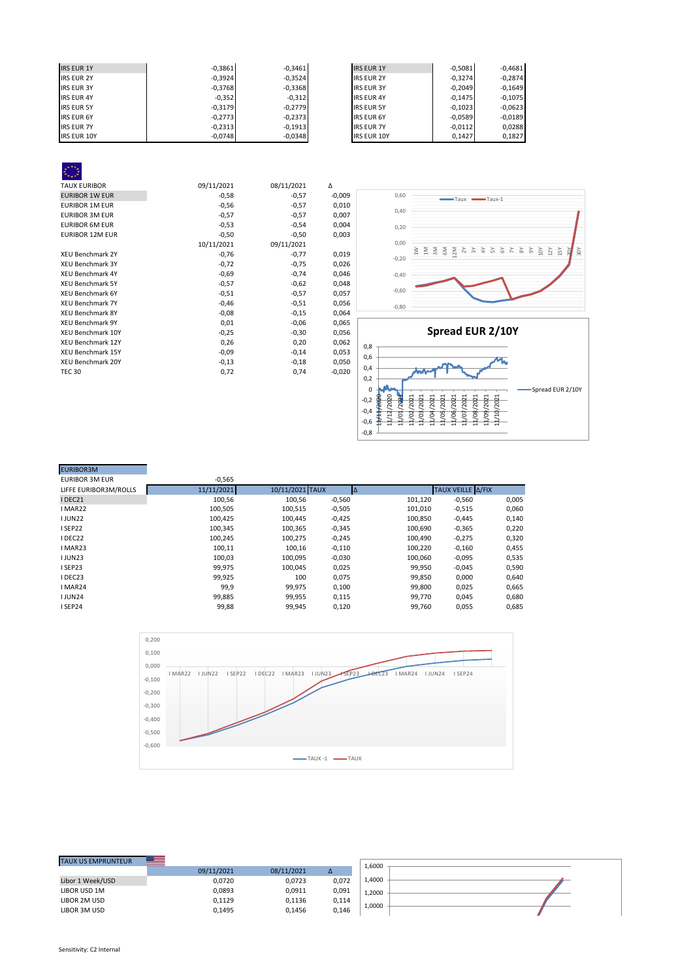| <b>IRS EUR 1Y</b>  | $-0,3861$ | $-0,3461$ | <b>IRS EUR 1Y</b>  | $-0.5081$ | $-0,4681$ |
|--------------------|-----------|-----------|--------------------|-----------|-----------|
| <b>IRS EUR 2Y</b>  | $-0,3924$ | $-0,3524$ | <b>IRS EUR 2Y</b>  | $-0.3274$ | $-0,2874$ |
| <b>IRS EUR 3Y</b>  | $-0,3768$ | $-0,3368$ | <b>IRS EUR 3Y</b>  | $-0,2049$ | $-0,1649$ |
| <b>IRS EUR 4Y</b>  | $-0,352$  | $-0,312$  | <b>IRS EUR 4Y</b>  | $-0.1475$ | $-0,1075$ |
| <b>IRS EUR 5Y</b>  | $-0,3179$ | $-0.2779$ | <b>IRS EUR 5Y</b>  | $-0,1023$ | $-0,0623$ |
| <b>IRS EUR 6Y</b>  | $-0,2773$ | $-0,2373$ | <b>IRS EUR 6Y</b>  | $-0,0589$ | $-0,0189$ |
| <b>IRS EUR 7Y</b>  | $-0.2313$ | $-0,1913$ | <b>IRS EUR 7Y</b>  | $-0,0112$ | 0,0288    |
| <b>IRS EUR 10Y</b> | $-0,0748$ | $-0,0348$ | <b>IRS EUR 10Y</b> | 0.1427    | 0,1827    |

| <b>TAUX EURIBOR</b>      | 09/11/2021 | 08/11/2021 | Δ        |
|--------------------------|------------|------------|----------|
| <b>EURIBOR 1W EUR</b>    | $-0,58$    | $-0,57$    | $-0,009$ |
| <b>EURIBOR 1M EUR</b>    | $-0,56$    | $-0,57$    | 0,010    |
| <b>EURIBOR 3M EUR</b>    | $-0,57$    | $-0,57$    | 0,007    |
| <b>EURIBOR 6M EUR</b>    | $-0,53$    | $-0,54$    | 0,004    |
| <b>EURIBOR 12M EUR</b>   | $-0,50$    | $-0,50$    | 0,003    |
|                          | 10/11/2021 | 09/11/2021 |          |
| <b>XEU Benchmark 2Y</b>  | $-0,76$    | $-0,77$    | 0,019    |
| <b>XEU Benchmark 3Y</b>  | $-0,72$    | $-0,75$    | 0,026    |
| <b>XEU Benchmark 4Y</b>  | $-0,69$    | $-0,74$    | 0,046    |
| <b>XEU Benchmark 5Y</b>  | $-0,57$    | $-0,62$    | 0,048    |
| <b>XEU Benchmark 6Y</b>  | $-0,51$    | $-0,57$    | 0,057    |
| <b>XEU Benchmark 7Y</b>  | $-0,46$    | $-0,51$    | 0,056    |
| <b>XEU Benchmark 8Y</b>  | $-0,08$    | $-0,15$    | 0,064    |
| <b>XEU Benchmark 9Y</b>  | 0,01       | $-0,06$    | 0,065    |
| XEU Benchmark 10Y        | $-0,25$    | $-0,30$    | 0,056    |
| <b>XEU Benchmark 12Y</b> | 0,26       | 0,20       | 0,062    |
| <b>XEU Benchmark 15Y</b> | $-0,09$    | $-0,14$    | 0,053    |
| XEU Benchmark 20Y        | $-0,13$    | $-0,18$    | 0,050    |
| <b>TEC 30</b>            | 0,72       | 0,74       | $-0,020$ |
|                          |            |            |          |
|                          |            |            |          |



| <b>EURIBOR3M</b>      |            |                 |          |         |                   |       |
|-----------------------|------------|-----------------|----------|---------|-------------------|-------|
| <b>EURIBOR 3M EUR</b> | $-0,565$   |                 |          |         |                   |       |
| LIFFE EURIBOR3M/ROLLS | 11/11/2021 | 10/11/2021 TAUX |          | Δ       | TAUX VEILLE A/FIX |       |
| IDEC21                | 100,56     | 100,56          | $-0,560$ | 101,120 | $-0,560$          | 0,005 |
| I MAR22               | 100.505    | 100,515         | $-0,505$ | 101,010 | $-0,515$          | 0,060 |
| <b>IJUN22</b>         | 100,425    | 100,445         | $-0,425$ | 100,850 | $-0,445$          | 0,140 |
| I SEP22               | 100.345    | 100,365         | $-0,345$ | 100,690 | $-0,365$          | 0,220 |
| DEC22                 | 100,245    | 100,275         | $-0,245$ | 100,490 | $-0,275$          | 0,320 |
| I MAR23               | 100,11     | 100,16          | $-0,110$ | 100,220 | $-0,160$          | 0,455 |
| <b>IJUN23</b>         | 100,03     | 100,095         | $-0,030$ | 100,060 | $-0,095$          | 0,535 |
| I SEP23               | 99.975     | 100.045         | 0,025    | 99,950  | $-0,045$          | 0,590 |
| DEC23                 | 99,925     | 100             | 0,075    | 99,850  | 0,000             | 0,640 |
| I MAR24               | 99,9       | 99,975          | 0,100    | 99,800  | 0,025             | 0,665 |
| <b>IJUN24</b>         | 99,885     | 99,955          | 0,115    | 99,770  | 0,045             | 0,680 |
| I SEP24               | 99,88      | 99,945          | 0,120    | 99,760  | 0,055             | 0,685 |



| 1,6000<br>09/11/2021<br>08/11/2021<br>Δ<br>1,4000<br>0,072<br>0,0723<br>0.0720<br>0,091<br>0,0893<br>0,0911<br>1.2000<br>0,1129<br>0,1136<br>0.114<br>1,0000<br>0,146<br>0,1495<br>0,1456 |                           | <b>Belle</b> |  |  |
|-------------------------------------------------------------------------------------------------------------------------------------------------------------------------------------------|---------------------------|--------------|--|--|
|                                                                                                                                                                                           | <b>TAUX US EMPRUNTEUR</b> |              |  |  |
|                                                                                                                                                                                           |                           |              |  |  |
|                                                                                                                                                                                           | Libor 1 Week/USD          |              |  |  |
|                                                                                                                                                                                           | LIBOR USD 1M              |              |  |  |
|                                                                                                                                                                                           | LIBOR 2M USD              |              |  |  |
|                                                                                                                                                                                           | LIBOR 3M USD              |              |  |  |